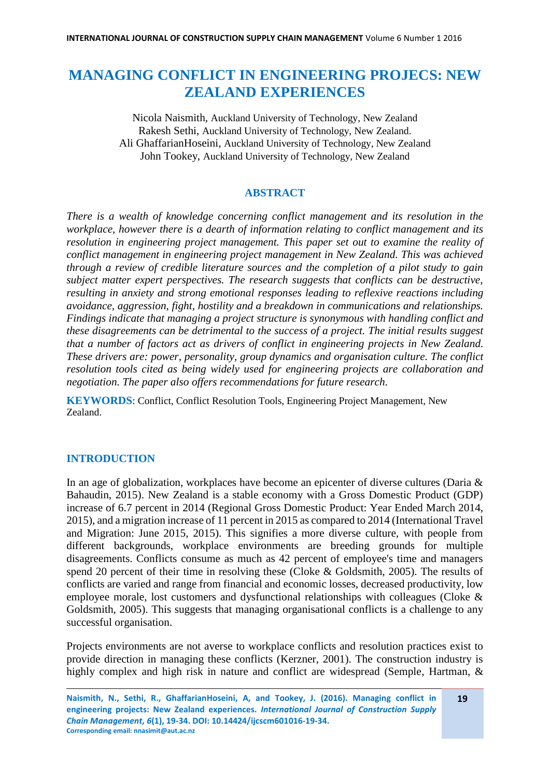# **MANAGING CONFLICT IN ENGINEERING PROJECS: NEW ZEALAND EXPERIENCES**

Nicola Naismith, Auckland University of Technology, New Zealand Rakesh Sethi, Auckland University of Technology, New Zealand. Ali GhaffarianHoseini, Auckland University of Technology, New Zealand John Tookey, Auckland University of Technology, New Zealand

#### **ABSTRACT**

*There is a wealth of knowledge concerning conflict management and its resolution in the workplace, however there is a dearth of information relating to conflict management and its resolution in engineering project management. This paper set out to examine the reality of conflict management in engineering project management in New Zealand. This was achieved through a review of credible literature sources and the completion of a pilot study to gain subject matter expert perspectives. The research suggests that conflicts can be destructive, resulting in anxiety and strong emotional responses leading to reflexive reactions including avoidance, aggression, fight, hostility and a breakdown in communications and relationships. Findings indicate that managing a project structure is synonymous with handling conflict and these disagreements can be detrimental to the success of a project. The initial results suggest that a number of factors act as drivers of conflict in engineering projects in New Zealand. These drivers are: power, personality, group dynamics and organisation culture. The conflict resolution tools cited as being widely used for engineering projects are collaboration and negotiation. The paper also offers recommendations for future research.*

**KEYWORDS**: Conflict, Conflict Resolution Tools, Engineering Project Management, New Zealand.

# **INTRODUCTION**

In an age of globalization, workplaces have become an epicenter of diverse cultures (Daria & Bahaudin, 2015). New Zealand is a stable economy with a Gross Domestic Product (GDP) increase of 6.7 percent in 2014 (Regional Gross Domestic Product: Year Ended March 2014, 2015), and a migration increase of 11 percent in 2015 as compared to 2014 (International Travel and Migration: June 2015, 2015). This signifies a more diverse culture, with people from different backgrounds, workplace environments are breeding grounds for multiple disagreements. Conflicts consume as much as 42 percent of employee's time and managers spend 20 percent of their time in resolving these (Cloke & Goldsmith, 2005). The results of conflicts are varied and range from financial and economic losses, decreased productivity, low employee morale, lost customers and dysfunctional relationships with colleagues (Cloke & Goldsmith, 2005). This suggests that managing organisational conflicts is a challenge to any successful organisation.

Projects environments are not averse to workplace conflicts and resolution practices exist to provide direction in managing these conflicts (Kerzner, 2001). The construction industry is highly complex and high risk in nature and conflict are widespread (Semple, Hartman, &

**19**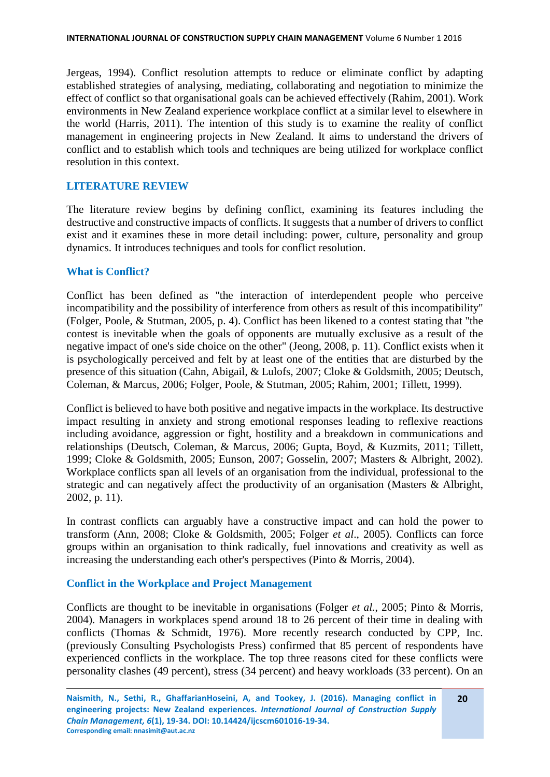Jergeas, 1994). Conflict resolution attempts to reduce or eliminate conflict by adapting established strategies of analysing, mediating, collaborating and negotiation to minimize the effect of conflict so that organisational goals can be achieved effectively (Rahim, 2001). Work environments in New Zealand experience workplace conflict at a similar level to elsewhere in the world (Harris, 2011). The intention of this study is to examine the reality of conflict management in engineering projects in New Zealand. It aims to understand the drivers of conflict and to establish which tools and techniques are being utilized for workplace conflict resolution in this context.

#### **LITERATURE REVIEW**

The literature review begins by defining conflict, examining its features including the destructive and constructive impacts of conflicts. It suggests that a number of drivers to conflict exist and it examines these in more detail including: power, culture, personality and group dynamics. It introduces techniques and tools for conflict resolution.

#### **What is Conflict?**

Conflict has been defined as "the interaction of interdependent people who perceive incompatibility and the possibility of interference from others as result of this incompatibility" (Folger, Poole, & Stutman, 2005, p. 4). Conflict has been likened to a contest stating that "the contest is inevitable when the goals of opponents are mutually exclusive as a result of the negative impact of one's side choice on the other" (Jeong, 2008, p. 11). Conflict exists when it is psychologically perceived and felt by at least one of the entities that are disturbed by the presence of this situation (Cahn, Abigail, & Lulofs, 2007; Cloke & Goldsmith, 2005; Deutsch, Coleman, & Marcus, 2006; Folger, Poole, & Stutman, 2005; Rahim, 2001; Tillett, 1999).

Conflict is believed to have both positive and negative impacts in the workplace. Its destructive impact resulting in anxiety and strong emotional responses leading to reflexive reactions including avoidance, aggression or fight, hostility and a breakdown in communications and relationships (Deutsch, Coleman, & Marcus, 2006; Gupta, Boyd, & Kuzmits, 2011; Tillett, 1999; Cloke & Goldsmith, 2005; Eunson, 2007; Gosselin, 2007; Masters & Albright, 2002). Workplace conflicts span all levels of an organisation from the individual, professional to the strategic and can negatively affect the productivity of an organisation (Masters & Albright, 2002, p. 11).

In contrast conflicts can arguably have a constructive impact and can hold the power to transform (Ann, 2008; Cloke & Goldsmith, 2005; Folger *et al*., 2005). Conflicts can force groups within an organisation to think radically, fuel innovations and creativity as well as increasing the understanding each other's perspectives (Pinto & Morris, 2004).

#### **Conflict in the Workplace and Project Management**

Conflicts are thought to be inevitable in organisations (Folger *et al.*, 2005; Pinto & Morris, 2004). Managers in workplaces spend around 18 to 26 percent of their time in dealing with conflicts (Thomas & Schmidt, 1976). More recently research conducted by CPP, Inc. (previously Consulting Psychologists Press) confirmed that 85 percent of respondents have experienced conflicts in the workplace. The top three reasons cited for these conflicts were personality clashes (49 percent), stress (34 percent) and heavy workloads (33 percent). On an

**20**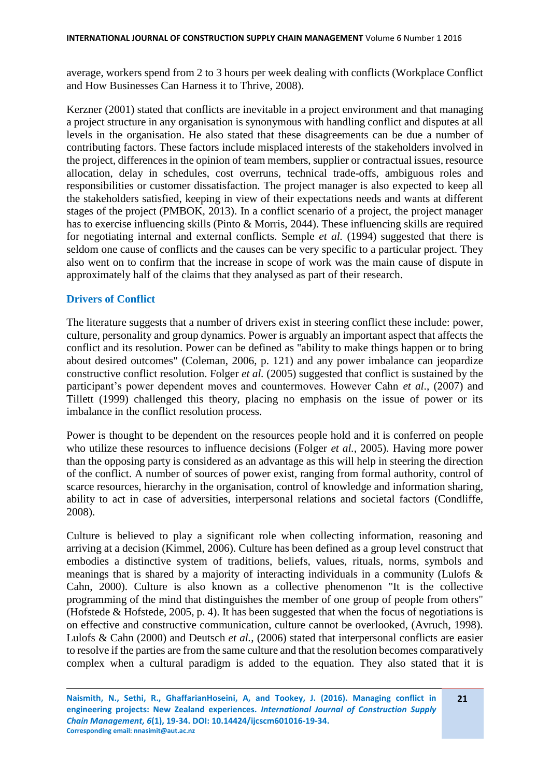average, workers spend from 2 to 3 hours per week dealing with conflicts (Workplace Conflict and How Businesses Can Harness it to Thrive, 2008).

Kerzner (2001) stated that conflicts are inevitable in a project environment and that managing a project structure in any organisation is synonymous with handling conflict and disputes at all levels in the organisation. He also stated that these disagreements can be due a number of contributing factors. These factors include misplaced interests of the stakeholders involved in the project, differences in the opinion of team members, supplier or contractual issues, resource allocation, delay in schedules, cost overruns, technical trade-offs, ambiguous roles and responsibilities or customer dissatisfaction. The project manager is also expected to keep all the stakeholders satisfied, keeping in view of their expectations needs and wants at different stages of the project (PMBOK, 2013). In a conflict scenario of a project, the project manager has to exercise influencing skills (Pinto & Morris, 2044). These influencing skills are required for negotiating internal and external conflicts. Semple *et al.* (1994) suggested that there is seldom one cause of conflicts and the causes can be very specific to a particular project. They also went on to confirm that the increase in scope of work was the main cause of dispute in approximately half of the claims that they analysed as part of their research.

## **Drivers of Conflict**

The literature suggests that a number of drivers exist in steering conflict these include: power, culture, personality and group dynamics. Power is arguably an important aspect that affects the conflict and its resolution. Power can be defined as "ability to make things happen or to bring about desired outcomes" (Coleman, 2006, p. 121) and any power imbalance can jeopardize constructive conflict resolution. Folger *et al.* (2005) suggested that conflict is sustained by the participant's power dependent moves and countermoves. However Cahn *et al*., (2007) and Tillett (1999) challenged this theory, placing no emphasis on the issue of power or its imbalance in the conflict resolution process.

Power is thought to be dependent on the resources people hold and it is conferred on people who utilize these resources to influence decisions (Folger *et al.*, 2005). Having more power than the opposing party is considered as an advantage as this will help in steering the direction of the conflict. A number of sources of power exist, ranging from formal authority, control of scarce resources, hierarchy in the organisation, control of knowledge and information sharing, ability to act in case of adversities, interpersonal relations and societal factors (Condliffe, 2008).

Culture is believed to play a significant role when collecting information, reasoning and arriving at a decision (Kimmel, 2006). Culture has been defined as a group level construct that embodies a distinctive system of traditions, beliefs, values, rituals, norms, symbols and meanings that is shared by a majority of interacting individuals in a community (Lulofs & Cahn, 2000). Culture is also known as a collective phenomenon "It is the collective programming of the mind that distinguishes the member of one group of people from others" (Hofstede & Hofstede, 2005, p. 4). It has been suggested that when the focus of negotiations is on effective and constructive communication, culture cannot be overlooked, (Avruch, 1998). Lulofs & Cahn (2000) and Deutsch *et al.*, (2006) stated that interpersonal conflicts are easier to resolve if the parties are from the same culture and that the resolution becomes comparatively complex when a cultural paradigm is added to the equation. They also stated that it is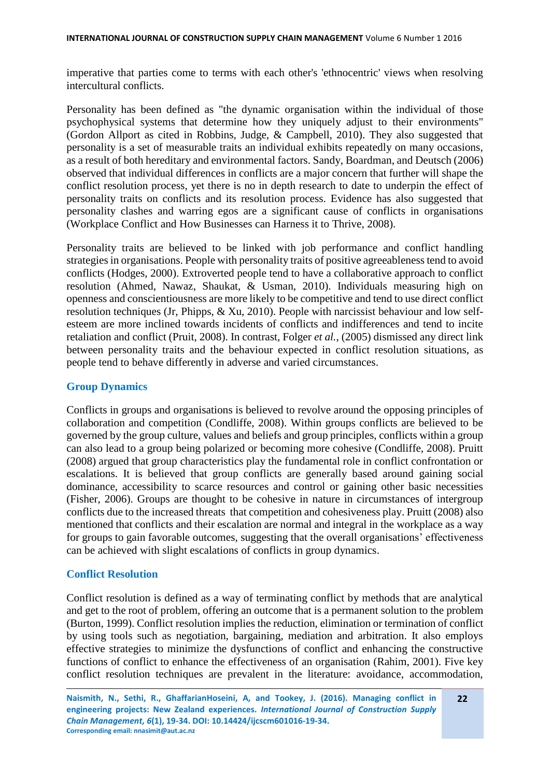imperative that parties come to terms with each other's 'ethnocentric' views when resolving intercultural conflicts.

Personality has been defined as "the dynamic organisation within the individual of those psychophysical systems that determine how they uniquely adjust to their environments" (Gordon Allport as cited in Robbins, Judge, & Campbell, 2010). They also suggested that personality is a set of measurable traits an individual exhibits repeatedly on many occasions, as a result of both hereditary and environmental factors. Sandy, Boardman, and Deutsch (2006) observed that individual differences in conflicts are a major concern that further will shape the conflict resolution process, yet there is no in depth research to date to underpin the effect of personality traits on conflicts and its resolution process. Evidence has also suggested that personality clashes and warring egos are a significant cause of conflicts in organisations (Workplace Conflict and How Businesses can Harness it to Thrive, 2008).

Personality traits are believed to be linked with job performance and conflict handling strategies in organisations. People with personality traits of positive agreeableness tend to avoid conflicts (Hodges, 2000). Extroverted people tend to have a collaborative approach to conflict resolution (Ahmed, Nawaz, Shaukat, & Usman, 2010). Individuals measuring high on openness and conscientiousness are more likely to be competitive and tend to use direct conflict resolution techniques (Jr, Phipps, & Xu, 2010). People with narcissist behaviour and low selfesteem are more inclined towards incidents of conflicts and indifferences and tend to incite retaliation and conflict (Pruit, 2008). In contrast, Folger *et al.*, (2005) dismissed any direct link between personality traits and the behaviour expected in conflict resolution situations, as people tend to behave differently in adverse and varied circumstances.

#### **Group Dynamics**

Conflicts in groups and organisations is believed to revolve around the opposing principles of collaboration and competition (Condliffe, 2008). Within groups conflicts are believed to be governed by the group culture, values and beliefs and group principles, conflicts within a group can also lead to a group being polarized or becoming more cohesive (Condliffe, 2008). Pruitt (2008) argued that group characteristics play the fundamental role in conflict confrontation or escalations. It is believed that group conflicts are generally based around gaining social dominance, accessibility to scarce resources and control or gaining other basic necessities (Fisher, 2006). Groups are thought to be cohesive in nature in circumstances of intergroup conflicts due to the increased threats that competition and cohesiveness play. Pruitt (2008) also mentioned that conflicts and their escalation are normal and integral in the workplace as a way for groups to gain favorable outcomes, suggesting that the overall organisations' effectiveness can be achieved with slight escalations of conflicts in group dynamics.

#### **Conflict Resolution**

Conflict resolution is defined as a way of terminating conflict by methods that are analytical and get to the root of problem, offering an outcome that is a permanent solution to the problem (Burton, 1999). Conflict resolution implies the reduction, elimination or termination of conflict by using tools such as negotiation, bargaining, mediation and arbitration. It also employs effective strategies to minimize the dysfunctions of conflict and enhancing the constructive functions of conflict to enhance the effectiveness of an organisation (Rahim, 2001). Five key conflict resolution techniques are prevalent in the literature: avoidance, accommodation,

**22**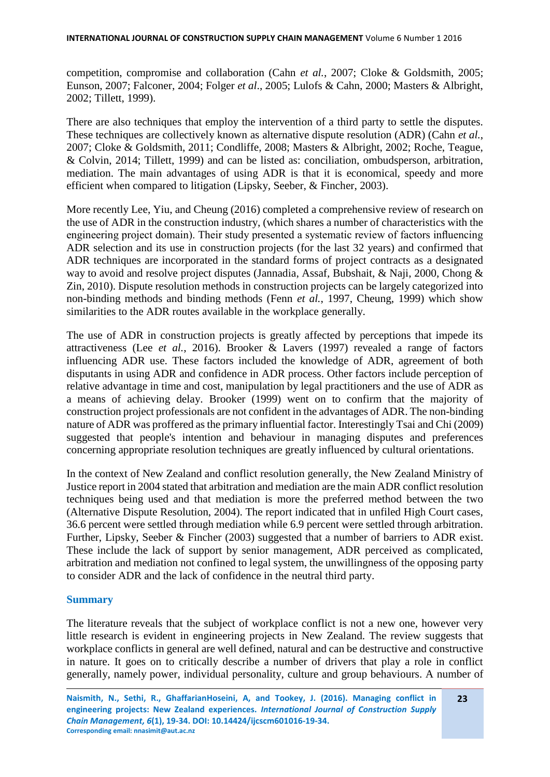competition, compromise and collaboration (Cahn *et al.*, 2007; Cloke & Goldsmith, 2005; Eunson, 2007; Falconer, 2004; Folger *et al*., 2005; Lulofs & Cahn, 2000; Masters & Albright, 2002; Tillett, 1999).

There are also techniques that employ the intervention of a third party to settle the disputes. These techniques are collectively known as alternative dispute resolution (ADR) (Cahn *et al.*, 2007; Cloke & Goldsmith, 2011; Condliffe, 2008; Masters & Albright, 2002; Roche, Teague, & Colvin, 2014; Tillett, 1999) and can be listed as: conciliation, ombudsperson, arbitration, mediation. The main advantages of using ADR is that it is economical, speedy and more efficient when compared to litigation (Lipsky, Seeber, & Fincher, 2003).

More recently Lee, Yiu, and Cheung (2016) completed a comprehensive review of research on the use of ADR in the construction industry, (which shares a number of characteristics with the engineering project domain). Their study presented a systematic review of factors influencing ADR selection and its use in construction projects (for the last 32 years) and confirmed that ADR techniques are incorporated in the standard forms of project contracts as a designated way to avoid and resolve project disputes (Jannadia, Assaf, Bubshait, & Naji, 2000, Chong & Zin, 2010). Dispute resolution methods in construction projects can be largely categorized into non-binding methods and binding methods (Fenn *et al.*, 1997, Cheung, 1999) which show similarities to the ADR routes available in the workplace generally.

The use of ADR in construction projects is greatly affected by perceptions that impede its attractiveness (Lee *et al.*, 2016). Brooker & Lavers (1997) revealed a range of factors influencing ADR use. These factors included the knowledge of ADR, agreement of both disputants in using ADR and confidence in ADR process. Other factors include perception of relative advantage in time and cost, manipulation by legal practitioners and the use of ADR as a means of achieving delay. Brooker (1999) went on to confirm that the majority of construction project professionals are not confident in the advantages of ADR. The non-binding nature of ADR was proffered as the primary influential factor. Interestingly Tsai and Chi (2009) suggested that people's intention and behaviour in managing disputes and preferences concerning appropriate resolution techniques are greatly influenced by cultural orientations.

In the context of New Zealand and conflict resolution generally, the New Zealand Ministry of Justice report in 2004 stated that arbitration and mediation are the main ADR conflict resolution techniques being used and that mediation is more the preferred method between the two (Alternative Dispute Resolution, 2004). The report indicated that in unfiled High Court cases, 36.6 percent were settled through mediation while 6.9 percent were settled through arbitration. Further, Lipsky, Seeber & Fincher (2003) suggested that a number of barriers to ADR exist. These include the lack of support by senior management, ADR perceived as complicated, arbitration and mediation not confined to legal system, the unwillingness of the opposing party to consider ADR and the lack of confidence in the neutral third party.

#### **Summary**

The literature reveals that the subject of workplace conflict is not a new one, however very little research is evident in engineering projects in New Zealand. The review suggests that workplace conflicts in general are well defined, natural and can be destructive and constructive in nature. It goes on to critically describe a number of drivers that play a role in conflict generally, namely power, individual personality, culture and group behaviours. A number of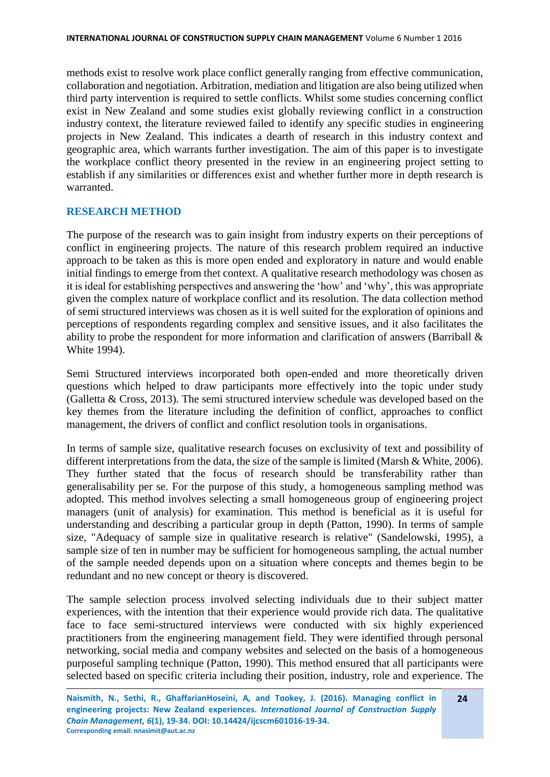methods exist to resolve work place conflict generally ranging from effective communication, collaboration and negotiation. Arbitration, mediation and litigation are also being utilized when third party intervention is required to settle conflicts. Whilst some studies concerning conflict exist in New Zealand and some studies exist globally reviewing conflict in a construction industry context, the literature reviewed failed to identify any specific studies in engineering projects in New Zealand. This indicates a dearth of research in this industry context and geographic area, which warrants further investigation. The aim of this paper is to investigate the workplace conflict theory presented in the review in an engineering project setting to establish if any similarities or differences exist and whether further more in depth research is warranted.

#### **RESEARCH METHOD**

The purpose of the research was to gain insight from industry experts on their perceptions of conflict in engineering projects. The nature of this research problem required an inductive approach to be taken as this is more open ended and exploratory in nature and would enable initial findings to emerge from thet context. A qualitative research methodology was chosen as it is ideal for establishing perspectives and answering the 'how' and 'why', this was appropriate given the complex nature of workplace conflict and its resolution. The data collection method of semi structured interviews was chosen as it is well suited for the exploration of opinions and perceptions of respondents regarding complex and sensitive issues, and it also facilitates the ability to probe the respondent for more information and clarification of answers (Barriball & White 1994).

Semi Structured interviews incorporated both open-ended and more theoretically driven questions which helped to draw participants more effectively into the topic under study (Galletta & Cross, 2013). The semi structured interview schedule was developed based on the key themes from the literature including the definition of conflict, approaches to conflict management, the drivers of conflict and conflict resolution tools in organisations.

In terms of sample size, qualitative research focuses on exclusivity of text and possibility of different interpretations from the data, the size of the sample is limited (Marsh & White, 2006). They further stated that the focus of research should be transferability rather than generalisability per se. For the purpose of this study, a homogeneous sampling method was adopted. This method involves selecting a small homogeneous group of engineering project managers (unit of analysis) for examination. This method is beneficial as it is useful for understanding and describing a particular group in depth (Patton, 1990). In terms of sample size, "Adequacy of sample size in qualitative research is relative" (Sandelowski, 1995), a sample size of ten in number may be sufficient for homogeneous sampling, the actual number of the sample needed depends upon on a situation where concepts and themes begin to be redundant and no new concept or theory is discovered.

The sample selection process involved selecting individuals due to their subject matter experiences, with the intention that their experience would provide rich data. The qualitative face to face semi-structured interviews were conducted with six highly experienced practitioners from the engineering management field. They were identified through personal networking, social media and company websites and selected on the basis of a homogeneous purposeful sampling technique (Patton, 1990). This method ensured that all participants were selected based on specific criteria including their position, industry, role and experience. The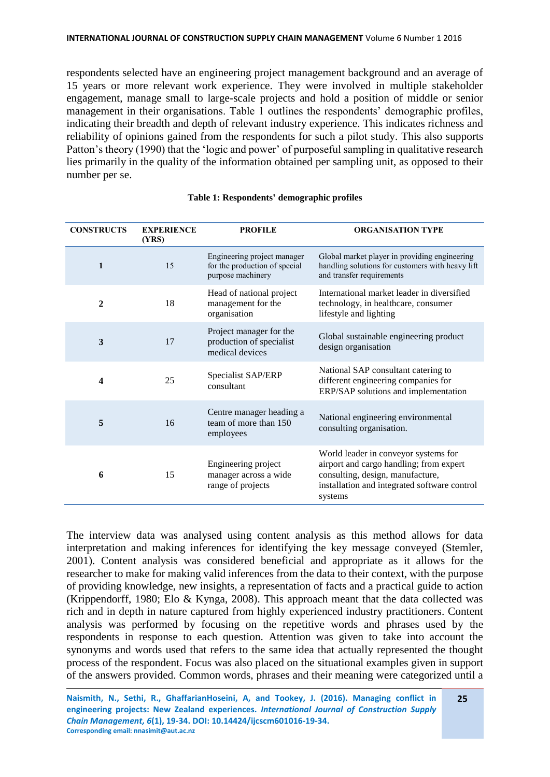respondents selected have an engineering project management background and an average of 15 years or more relevant work experience. They were involved in multiple stakeholder engagement, manage small to large-scale projects and hold a position of middle or senior management in their organisations. Table 1 outlines the respondents' demographic profiles, indicating their breadth and depth of relevant industry experience. This indicates richness and reliability of opinions gained from the respondents for such a pilot study. This also supports Patton's theory (1990) that the 'logic and power' of purposeful sampling in qualitative research lies primarily in the quality of the information obtained per sampling unit, as opposed to their number per se.

| <b>CONSTRUCTS</b> | <b>EXPERIENCE</b><br>(YRS) | <b>PROFILE</b>                                                                    | <b>ORGANISATION TYPE</b>                                                                                                                                                       |
|-------------------|----------------------------|-----------------------------------------------------------------------------------|--------------------------------------------------------------------------------------------------------------------------------------------------------------------------------|
| $\mathbf{1}$      | 15                         | Engineering project manager<br>for the production of special<br>purpose machinery | Global market player in providing engineering<br>handling solutions for customers with heavy lift<br>and transfer requirements                                                 |
| $\overline{2}$    | 18                         | Head of national project<br>management for the<br>organisation                    | International market leader in diversified<br>technology, in healthcare, consumer<br>lifestyle and lighting                                                                    |
| 3                 | 17                         | Project manager for the<br>production of specialist<br>medical devices            | Global sustainable engineering product<br>design organisation                                                                                                                  |
| 4                 | 25                         | Specialist SAP/ERP<br>consultant                                                  | National SAP consultant catering to<br>different engineering companies for<br>ERP/SAP solutions and implementation                                                             |
| 5                 | 16                         | Centre manager heading a<br>team of more than 150<br>employees                    | National engineering environmental<br>consulting organisation.                                                                                                                 |
| 6                 | 15                         | Engineering project<br>manager across a wide<br>range of projects                 | World leader in conveyor systems for<br>airport and cargo handling; from expert<br>consulting, design, manufacture,<br>installation and integrated software control<br>systems |

#### **Table 1: Respondents' demographic profiles**

The interview data was analysed using content analysis as this method allows for data interpretation and making inferences for identifying the key message conveyed (Stemler, 2001). Content analysis was considered beneficial and appropriate as it allows for the researcher to make for making valid inferences from the data to their context, with the purpose of providing knowledge, new insights, a representation of facts and a practical guide to action (Krippendorff, 1980; Elo & Kynga, 2008). This approach meant that the data collected was rich and in depth in nature captured from highly experienced industry practitioners. Content analysis was performed by focusing on the repetitive words and phrases used by the respondents in response to each question. Attention was given to take into account the synonyms and words used that refers to the same idea that actually represented the thought process of the respondent. Focus was also placed on the situational examples given in support of the answers provided. Common words, phrases and their meaning were categorized until a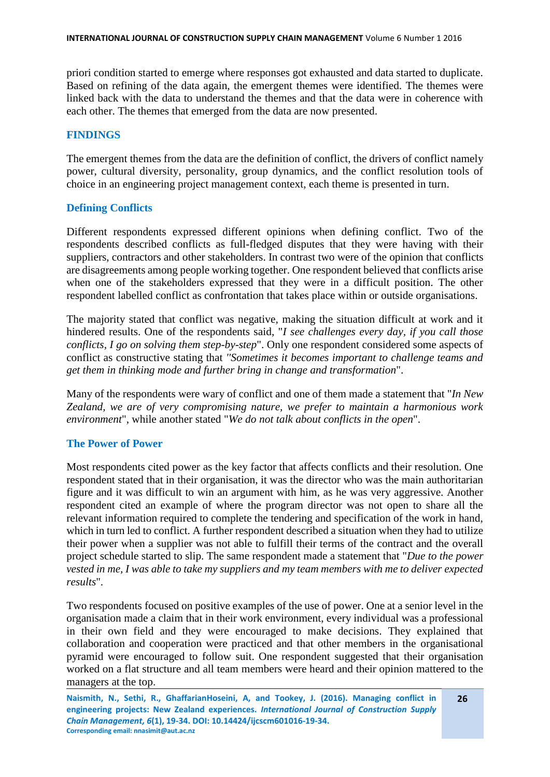priori condition started to emerge where responses got exhausted and data started to duplicate. Based on refining of the data again, the emergent themes were identified. The themes were linked back with the data to understand the themes and that the data were in coherence with each other. The themes that emerged from the data are now presented.

#### **FINDINGS**

The emergent themes from the data are the definition of conflict, the drivers of conflict namely power, cultural diversity, personality, group dynamics, and the conflict resolution tools of choice in an engineering project management context, each theme is presented in turn.

#### **Defining Conflicts**

Different respondents expressed different opinions when defining conflict. Two of the respondents described conflicts as full-fledged disputes that they were having with their suppliers, contractors and other stakeholders. In contrast two were of the opinion that conflicts are disagreements among people working together. One respondent believed that conflicts arise when one of the stakeholders expressed that they were in a difficult position. The other respondent labelled conflict as confrontation that takes place within or outside organisations.

The majority stated that conflict was negative, making the situation difficult at work and it hindered results. One of the respondents said, "*I see challenges every day, if you call those conflicts, I go on solving them step-by-step*". Only one respondent considered some aspects of conflict as constructive stating that *''Sometimes it becomes important to challenge teams and get them in thinking mode and further bring in change and transformation*".

Many of the respondents were wary of conflict and one of them made a statement that "*In New Zealand, we are of very compromising nature, we prefer to maintain a harmonious work environment*", while another stated "*We do not talk about conflicts in the open*".

#### **The Power of Power**

Most respondents cited power as the key factor that affects conflicts and their resolution. One respondent stated that in their organisation, it was the director who was the main authoritarian figure and it was difficult to win an argument with him, as he was very aggressive. Another respondent cited an example of where the program director was not open to share all the relevant information required to complete the tendering and specification of the work in hand, which in turn led to conflict. A further respondent described a situation when they had to utilize their power when a supplier was not able to fulfill their terms of the contract and the overall project schedule started to slip. The same respondent made a statement that "*Due to the power vested in me, I was able to take my suppliers and my team members with me to deliver expected results*".

Two respondents focused on positive examples of the use of power. One at a senior level in the organisation made a claim that in their work environment, every individual was a professional in their own field and they were encouraged to make decisions. They explained that collaboration and cooperation were practiced and that other members in the organisational pyramid were encouraged to follow suit. One respondent suggested that their organisation worked on a flat structure and all team members were heard and their opinion mattered to the managers at the top.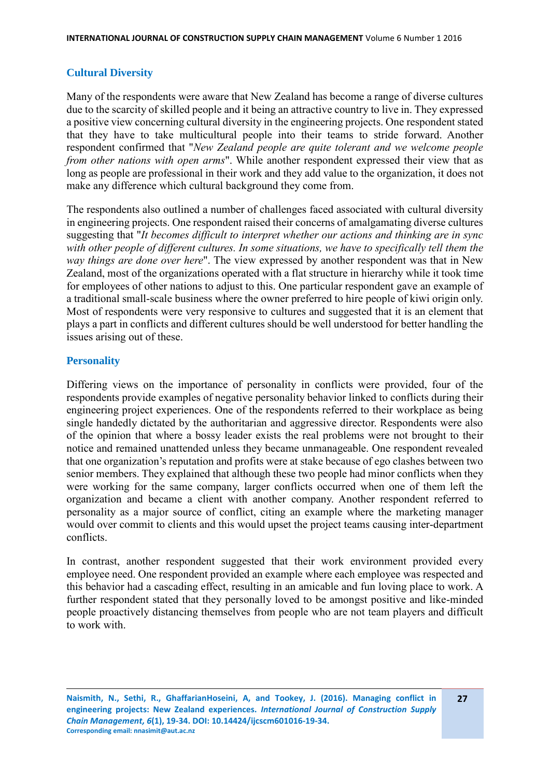# **Cultural Diversity**

Many of the respondents were aware that New Zealand has become a range of diverse cultures due to the scarcity of skilled people and it being an attractive country to live in. They expressed a positive view concerning cultural diversity in the engineering projects. One respondent stated that they have to take multicultural people into their teams to stride forward. Another respondent confirmed that "*New Zealand people are quite tolerant and we welcome people from other nations with open arms*". While another respondent expressed their view that as long as people are professional in their work and they add value to the organization, it does not make any difference which cultural background they come from.

The respondents also outlined a number of challenges faced associated with cultural diversity in engineering projects. One respondent raised their concerns of amalgamating diverse cultures suggesting that "*It becomes difficult to interpret whether our actions and thinking are in sync with other people of different cultures. In some situations, we have to specifically tell them the way things are done over here*". The view expressed by another respondent was that in New Zealand, most of the organizations operated with a flat structure in hierarchy while it took time for employees of other nations to adjust to this. One particular respondent gave an example of a traditional small-scale business where the owner preferred to hire people of kiwi origin only. Most of respondents were very responsive to cultures and suggested that it is an element that plays a part in conflicts and different cultures should be well understood for better handling the issues arising out of these.

## **Personality**

Differing views on the importance of personality in conflicts were provided, four of the respondents provide examples of negative personality behavior linked to conflicts during their engineering project experiences. One of the respondents referred to their workplace as being single handedly dictated by the authoritarian and aggressive director. Respondents were also of the opinion that where a bossy leader exists the real problems were not brought to their notice and remained unattended unless they became unmanageable. One respondent revealed that one organization's reputation and profits were at stake because of ego clashes between two senior members. They explained that although these two people had minor conflicts when they were working for the same company, larger conflicts occurred when one of them left the organization and became a client with another company. Another respondent referred to personality as a major source of conflict, citing an example where the marketing manager would over commit to clients and this would upset the project teams causing inter-department conflicts.

In contrast, another respondent suggested that their work environment provided every employee need. One respondent provided an example where each employee was respected and this behavior had a cascading effect, resulting in an amicable and fun loving place to work. A further respondent stated that they personally loved to be amongst positive and like-minded people proactively distancing themselves from people who are not team players and difficult to work with.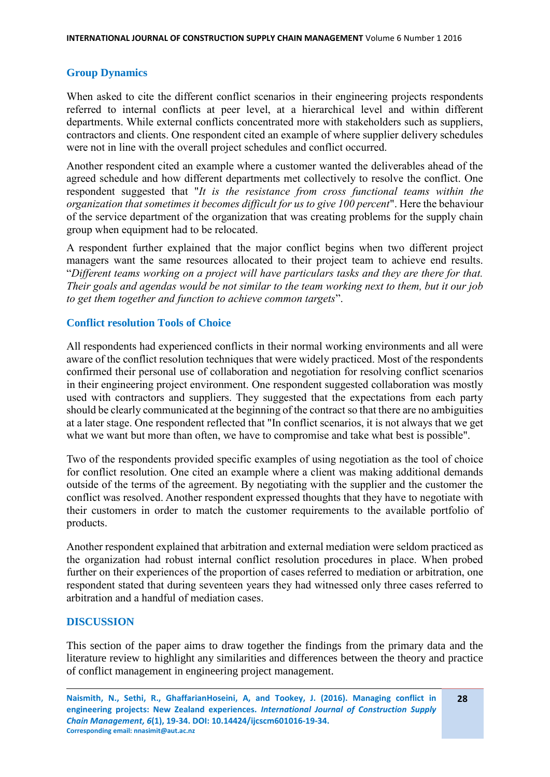# **Group Dynamics**

When asked to cite the different conflict scenarios in their engineering projects respondents referred to internal conflicts at peer level, at a hierarchical level and within different departments. While external conflicts concentrated more with stakeholders such as suppliers, contractors and clients. One respondent cited an example of where supplier delivery schedules were not in line with the overall project schedules and conflict occurred.

Another respondent cited an example where a customer wanted the deliverables ahead of the agreed schedule and how different departments met collectively to resolve the conflict. One respondent suggested that "*It is the resistance from cross functional teams within the organization that sometimes it becomes difficult for us to give 100 percent*". Here the behaviour of the service department of the organization that was creating problems for the supply chain group when equipment had to be relocated.

A respondent further explained that the major conflict begins when two different project managers want the same resources allocated to their project team to achieve end results. "*Different teams working on a project will have particulars tasks and they are there for that. Their goals and agendas would be not similar to the team working next to them, but it our job to get them together and function to achieve common targets*".

## **Conflict resolution Tools of Choice**

All respondents had experienced conflicts in their normal working environments and all were aware of the conflict resolution techniques that were widely practiced. Most of the respondents confirmed their personal use of collaboration and negotiation for resolving conflict scenarios in their engineering project environment. One respondent suggested collaboration was mostly used with contractors and suppliers. They suggested that the expectations from each party should be clearly communicated at the beginning of the contract so that there are no ambiguities at a later stage. One respondent reflected that "In conflict scenarios, it is not always that we get what we want but more than often, we have to compromise and take what best is possible".

Two of the respondents provided specific examples of using negotiation as the tool of choice for conflict resolution. One cited an example where a client was making additional demands outside of the terms of the agreement. By negotiating with the supplier and the customer the conflict was resolved. Another respondent expressed thoughts that they have to negotiate with their customers in order to match the customer requirements to the available portfolio of products.

Another respondent explained that arbitration and external mediation were seldom practiced as the organization had robust internal conflict resolution procedures in place. When probed further on their experiences of the proportion of cases referred to mediation or arbitration, one respondent stated that during seventeen years they had witnessed only three cases referred to arbitration and a handful of mediation cases.

#### **DISCUSSION**

This section of the paper aims to draw together the findings from the primary data and the literature review to highlight any similarities and differences between the theory and practice of conflict management in engineering project management.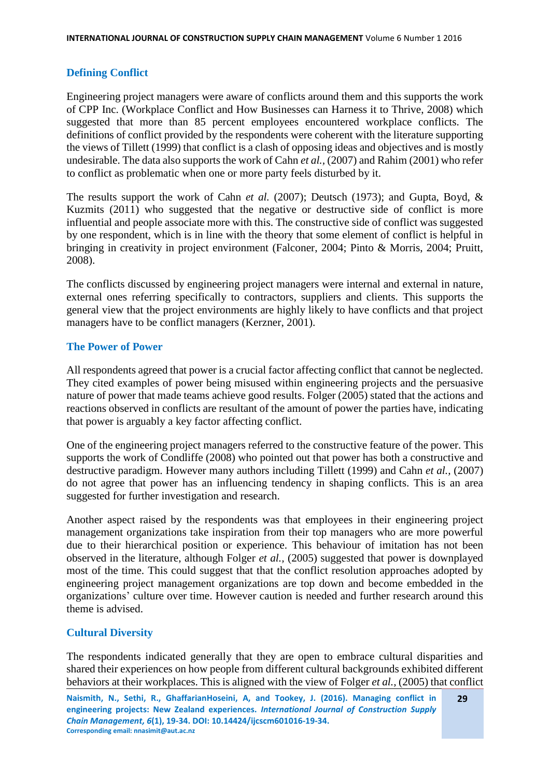## **Defining Conflict**

Engineering project managers were aware of conflicts around them and this supports the work of CPP Inc. (Workplace Conflict and How Businesses can Harness it to Thrive, 2008) which suggested that more than 85 percent employees encountered workplace conflicts. The definitions of conflict provided by the respondents were coherent with the literature supporting the views of Tillett (1999) that conflict is a clash of opposing ideas and objectives and is mostly undesirable. The data also supports the work of Cahn *et al.,* (2007) and Rahim (2001) who refer to conflict as problematic when one or more party feels disturbed by it.

The results support the work of Cahn *et al.* (2007); Deutsch (1973); and Gupta, Boyd, & Kuzmits (2011) who suggested that the negative or destructive side of conflict is more influential and people associate more with this. The constructive side of conflict was suggested by one respondent, which is in line with the theory that some element of conflict is helpful in bringing in creativity in project environment (Falconer, 2004; Pinto & Morris, 2004; Pruitt, 2008).

The conflicts discussed by engineering project managers were internal and external in nature, external ones referring specifically to contractors, suppliers and clients. This supports the general view that the project environments are highly likely to have conflicts and that project managers have to be conflict managers (Kerzner, 2001).

## **The Power of Power**

All respondents agreed that power is a crucial factor affecting conflict that cannot be neglected. They cited examples of power being misused within engineering projects and the persuasive nature of power that made teams achieve good results. Folger (2005) stated that the actions and reactions observed in conflicts are resultant of the amount of power the parties have, indicating that power is arguably a key factor affecting conflict.

One of the engineering project managers referred to the constructive feature of the power. This supports the work of Condliffe (2008) who pointed out that power has both a constructive and destructive paradigm. However many authors including Tillett (1999) and Cahn *et al.,* (2007) do not agree that power has an influencing tendency in shaping conflicts. This is an area suggested for further investigation and research.

Another aspect raised by the respondents was that employees in their engineering project management organizations take inspiration from their top managers who are more powerful due to their hierarchical position or experience. This behaviour of imitation has not been observed in the literature, although Folger *et al.,* (2005) suggested that power is downplayed most of the time. This could suggest that that the conflict resolution approaches adopted by engineering project management organizations are top down and become embedded in the organizations' culture over time. However caution is needed and further research around this theme is advised.

# **Cultural Diversity**

The respondents indicated generally that they are open to embrace cultural disparities and shared their experiences on how people from different cultural backgrounds exhibited different behaviors at their workplaces. This is aligned with the view of Folger *et al.,* (2005) that conflict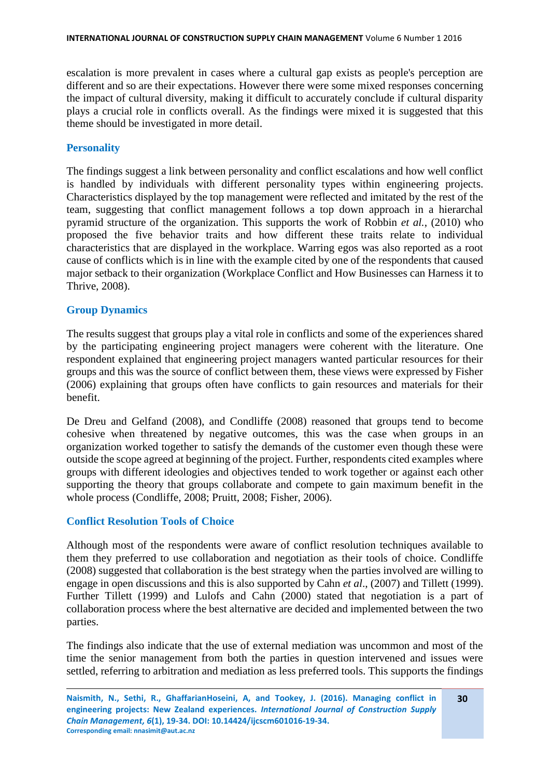escalation is more prevalent in cases where a cultural gap exists as people's perception are different and so are their expectations. However there were some mixed responses concerning the impact of cultural diversity, making it difficult to accurately conclude if cultural disparity plays a crucial role in conflicts overall. As the findings were mixed it is suggested that this theme should be investigated in more detail.

## **Personality**

The findings suggest a link between personality and conflict escalations and how well conflict is handled by individuals with different personality types within engineering projects. Characteristics displayed by the top management were reflected and imitated by the rest of the team, suggesting that conflict management follows a top down approach in a hierarchal pyramid structure of the organization. This supports the work of Robbin *et al.*, (2010) who proposed the five behavior traits and how different these traits relate to individual characteristics that are displayed in the workplace. Warring egos was also reported as a root cause of conflicts which is in line with the example cited by one of the respondents that caused major setback to their organization (Workplace Conflict and How Businesses can Harness it to Thrive, 2008).

## **Group Dynamics**

The results suggest that groups play a vital role in conflicts and some of the experiences shared by the participating engineering project managers were coherent with the literature. One respondent explained that engineering project managers wanted particular resources for their groups and this was the source of conflict between them, these views were expressed by Fisher (2006) explaining that groups often have conflicts to gain resources and materials for their benefit.

De Dreu and Gelfand (2008), and Condliffe (2008) reasoned that groups tend to become cohesive when threatened by negative outcomes, this was the case when groups in an organization worked together to satisfy the demands of the customer even though these were outside the scope agreed at beginning of the project. Further, respondents cited examples where groups with different ideologies and objectives tended to work together or against each other supporting the theory that groups collaborate and compete to gain maximum benefit in the whole process (Condliffe, 2008; Pruitt, 2008; Fisher, 2006).

#### **Conflict Resolution Tools of Choice**

Although most of the respondents were aware of conflict resolution techniques available to them they preferred to use collaboration and negotiation as their tools of choice. Condliffe (2008) suggested that collaboration is the best strategy when the parties involved are willing to engage in open discussions and this is also supported by Cahn *et al*., (2007) and Tillett (1999). Further Tillett (1999) and Lulofs and Cahn (2000) stated that negotiation is a part of collaboration process where the best alternative are decided and implemented between the two parties.

The findings also indicate that the use of external mediation was uncommon and most of the time the senior management from both the parties in question intervened and issues were settled, referring to arbitration and mediation as less preferred tools. This supports the findings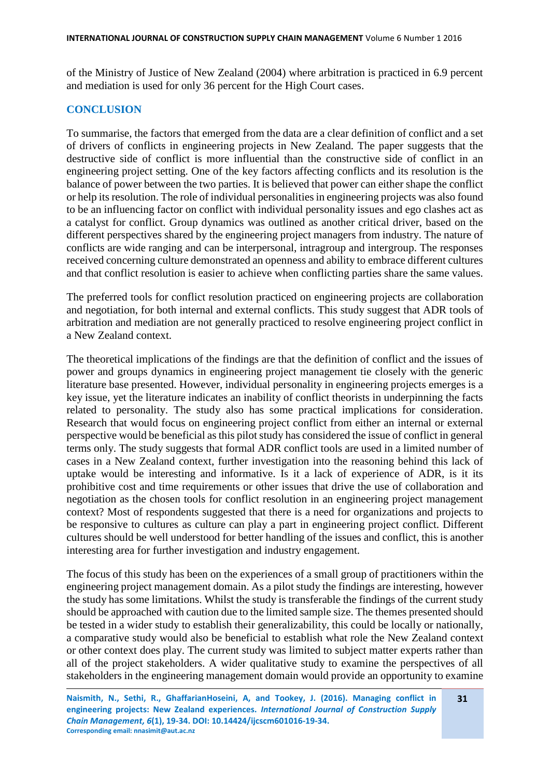of the Ministry of Justice of New Zealand (2004) where arbitration is practiced in 6.9 percent and mediation is used for only 36 percent for the High Court cases.

#### **CONCLUSION**

To summarise, the factors that emerged from the data are a clear definition of conflict and a set of drivers of conflicts in engineering projects in New Zealand. The paper suggests that the destructive side of conflict is more influential than the constructive side of conflict in an engineering project setting. One of the key factors affecting conflicts and its resolution is the balance of power between the two parties. It is believed that power can either shape the conflict or help its resolution. The role of individual personalities in engineering projects was also found to be an influencing factor on conflict with individual personality issues and ego clashes act as a catalyst for conflict. Group dynamics was outlined as another critical driver, based on the different perspectives shared by the engineering project managers from industry. The nature of conflicts are wide ranging and can be interpersonal, intragroup and intergroup. The responses received concerning culture demonstrated an openness and ability to embrace different cultures and that conflict resolution is easier to achieve when conflicting parties share the same values.

The preferred tools for conflict resolution practiced on engineering projects are collaboration and negotiation, for both internal and external conflicts. This study suggest that ADR tools of arbitration and mediation are not generally practiced to resolve engineering project conflict in a New Zealand context.

The theoretical implications of the findings are that the definition of conflict and the issues of power and groups dynamics in engineering project management tie closely with the generic literature base presented. However, individual personality in engineering projects emerges is a key issue, yet the literature indicates an inability of conflict theorists in underpinning the facts related to personality. The study also has some practical implications for consideration. Research that would focus on engineering project conflict from either an internal or external perspective would be beneficial as this pilot study has considered the issue of conflict in general terms only. The study suggests that formal ADR conflict tools are used in a limited number of cases in a New Zealand context, further investigation into the reasoning behind this lack of uptake would be interesting and informative. Is it a lack of experience of ADR, is it its prohibitive cost and time requirements or other issues that drive the use of collaboration and negotiation as the chosen tools for conflict resolution in an engineering project management context? Most of respondents suggested that there is a need for organizations and projects to be responsive to cultures as culture can play a part in engineering project conflict. Different cultures should be well understood for better handling of the issues and conflict, this is another interesting area for further investigation and industry engagement.

The focus of this study has been on the experiences of a small group of practitioners within the engineering project management domain. As a pilot study the findings are interesting, however the study has some limitations. Whilst the study is transferable the findings of the current study should be approached with caution due to the limited sample size. The themes presented should be tested in a wider study to establish their generalizability, this could be locally or nationally, a comparative study would also be beneficial to establish what role the New Zealand context or other context does play. The current study was limited to subject matter experts rather than all of the project stakeholders. A wider qualitative study to examine the perspectives of all stakeholders in the engineering management domain would provide an opportunity to examine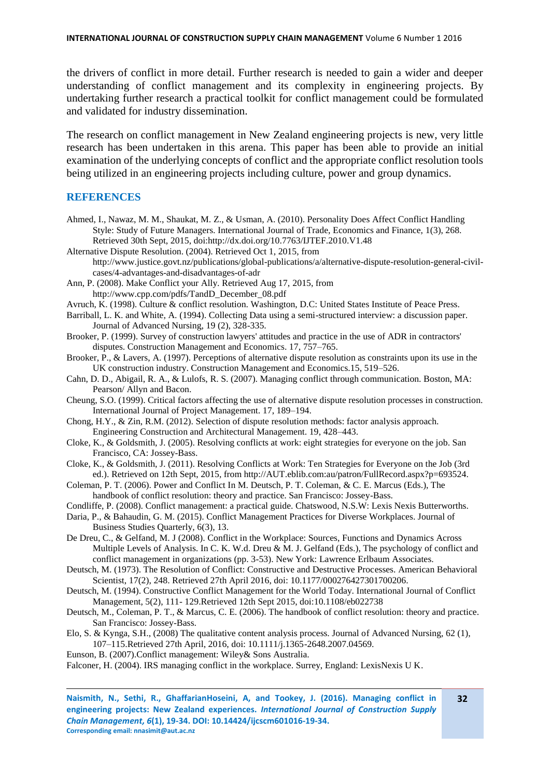the drivers of conflict in more detail. Further research is needed to gain a wider and deeper understanding of conflict management and its complexity in engineering projects. By undertaking further research a practical toolkit for conflict management could be formulated and validated for industry dissemination.

The research on conflict management in New Zealand engineering projects is new, very little research has been undertaken in this arena. This paper has been able to provide an initial examination of the underlying concepts of conflict and the appropriate conflict resolution tools being utilized in an engineering projects including culture, power and group dynamics.

#### **REFERENCES**

- Ahmed, I., Nawaz, M. M., Shaukat, M. Z., & Usman, A. (2010). Personality Does Affect Conflict Handling Style: Study of Future Managers. International Journal of Trade, Economics and Finance, 1(3), 268. Retrieved 30th Sept, 2015, doi:http://dx.doi.org/10.7763/IJTEF.2010.V1.48
- Alternative Dispute Resolution. (2004). Retrieved Oct 1, 2015, from http://www.justice.govt.nz/publications/global-publications/a/alternative-dispute-resolution-general-civilcases/4-advantages-and-disadvantages-of-adr
- Ann, P. (2008). Make Conflict your Ally. Retrieved Aug 17, 2015, from http://www.cpp.com/pdfs/TandD\_December\_08.pdf
- Avruch, K. (1998). Culture & conflict resolution. Washington, D.C: United States Institute of Peace Press.
- Barriball, L. K. and White, A. (1994). Collecting Data using a semi-structured interview: a discussion paper. Journal of Advanced Nursing, 19 (2), 328-335.
- Brooker, P. (1999). Survey of construction lawyers' attitudes and practice in the use of ADR in contractors' disputes. Construction Management and Economics. 17, 757–765.
- Brooker, P., & Lavers, A. (1997). Perceptions of alternative dispute resolution as constraints upon its use in the UK construction industry. Construction Management and Economics.15, 519–526.
- Cahn, D. D., Abigail, R. A., & Lulofs, R. S. (2007). Managing conflict through communication. Boston, MA: Pearson/ Allyn and Bacon.
- Cheung, S.O. (1999). Critical factors affecting the use of alternative dispute resolution processes in construction. International Journal of Project Management. 17, 189–194.
- Chong, H.Y., & Zin, R.M. (2012). Selection of dispute resolution methods: factor analysis approach. Engineering Construction and Architectural Management. 19, 428–443.
- Cloke, K., & Goldsmith, J. (2005). Resolving conflicts at work: eight strategies for everyone on the job. San Francisco, CA: Jossey-Bass.
- Cloke, K., & Goldsmith, J. (2011). Resolving Conflicts at Work: Ten Strategies for Everyone on the Job (3rd ed.). Retrieved on 12th Sept, 2015, from http://AUT.eblib.com:au/patron/FullRecord.aspx?p=693524.
- Coleman, P. T. (2006). Power and Conflict In M. Deutsch, P. T. Coleman, & C. E. Marcus (Eds.), The handbook of conflict resolution: theory and practice. San Francisco: Jossey-Bass.

Condliffe, P. (2008). Conflict management: a practical guide. Chatswood, N.S.W: Lexis Nexis Butterworths.

- Daria, P., & Bahaudin, G. M. (2015). Conflict Management Practices for Diverse Workplaces. Journal of Business Studies Quarterly, 6(3), 13.
- De Dreu, C., & Gelfand, M. J (2008). Conflict in the Workplace: Sources, Functions and Dynamics Across Multiple Levels of Analysis. In C. K. W.d. Dreu & M. J. Gelfand (Eds.), The psychology of conflict and conflict management in organizations (pp. 3-53). New York: Lawrence Erlbaum Associates.
- Deutsch, M. (1973). The Resolution of Conflict: Constructive and Destructive Processes. American Behavioral Scientist, 17(2), 248. Retrieved 27th April 2016, doi: 10.1177/000276427301700206.
- Deutsch, M. (1994). Constructive Conflict Management for the World Today. International Journal of Conflict Management, 5(2), 111- 129.Retrieved 12th Sept 2015, doi:10.1108/eb022738
- Deutsch, M., Coleman, P. T., & Marcus, C. E. (2006). The handbook of conflict resolution: theory and practice. San Francisco: Jossey-Bass.
- Elo, S. & Kynga, S.H., (2008) The qualitative content analysis process. Journal of Advanced Nursing, 62 (1), 107–115.Retrieved 27th April, 2016, doi: 10.1111/j.1365-2648.2007.04569.
- Eunson, B. (2007).Conflict management: Wiley& Sons Australia.

Falconer, H. (2004). IRS managing conflict in the workplace. Surrey, England: LexisNexis U K.

**Naismith, N., Sethi, R., GhaffarianHoseini, A, and Tookey, J. (2016). Managing conflict in engineering projects: New Zealand experiences.** *International Journal of Construction Supply Chain Management, 6***(1), 19-34. DOI: 10.14424/ijcscm601016-19-34. Corresponding email: nnasimit@aut.ac.nz**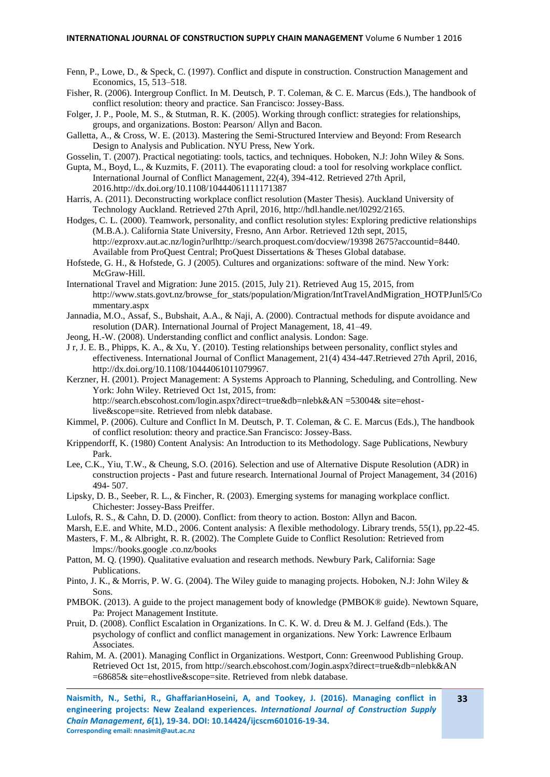- Fenn, P., Lowe, D., & Speck, C. (1997). Conflict and dispute in construction. Construction Management and Economics, 15, 513–518.
- Fisher, R. (2006). Intergroup Conflict. In M. Deutsch, P. T. Coleman, & C. E. Marcus (Eds.), The handbook of conflict resolution: theory and practice. San Francisco: Jossey-Bass.
- Folger, J. P., Poole, M. S., & Stutman, R. K. (2005). Working through conflict: strategies for relationships, groups, and organizations. Boston: Pearson/ Allyn and Bacon.
- Galletta, A., & Cross, W. E. (2013). Mastering the Semi-Structured Interview and Beyond: From Research Design to Analysis and Publication. NYU Press, New York.

Gosselin, T. (2007). Practical negotiating: tools, tactics, and techniques. Hoboken, N.J: John Wiley & Sons.

Gupta, M., Boyd, L., & Kuzmits, F. (2011). The evaporating cloud: a tool for resolving workplace conflict. International Journal of Conflict Management, 22(4), 394-412. Retrieved 27th April, 2016.http://dx.doi.org/10.1108/10444061111171387

- Harris, A. (2011). Deconstructing workplace conflict resolution (Master Thesis). Auckland University of Technology Auckland. Retrieved 27th April, 2016, http://hdl.handle.net/l0292/2165.
- Hodges, C. L. (2000). Teamwork, personality, and conflict resolution styles: Exploring predictive relationships (M.B.A.). California State University, Fresno, Ann Arbor. Retrieved 12th sept, 2015, http://ezproxv.aut.ac.nz/login?urlhttp://search.proquest.com/docview/19398 2675?accountid=8440. Available from ProQuest Central; ProQuest Dissertations & Theses Global database.
- Hofstede, G. H., & Hofstede, G. J (2005). Cultures and organizations: software of the mind. New York: McGraw-Hill.
- International Travel and Migration: June 2015. (2015, July 21). Retrieved Aug 15, 2015, from http://www.stats.govt.nz/browse\_for\_stats/population/Migration/IntTravelAndMigration\_HOTPJunl5/Co mmentary.aspx
- Jannadia, M.O., Assaf, S., Bubshait, A.A., & Naji, A. (2000). Contractual methods for dispute avoidance and resolution (DAR). International Journal of Project Management, 18, 41–49.
- Jeong, H.-W. (2008). Understanding conflict and conflict analysis. London: Sage.
- J r, J. E. B., Phipps, K. A., & Xu, Y. (2010). Testing relationships between personality, conflict styles and effectiveness. International Journal of Conflict Management, 21(4) 434-447.Retrieved 27th April, 2016, http://dx.doi.org/10.1108/10444061011079967.

Kerzner, H. (2001). Project Management: A Systems Approach to Planning, Scheduling, and Controlling. New York: John Wiley. Retrieved Oct 1st, 2015, from: http://search.ebscohost.com/login.aspx?direct=true&db=nlebk&AN =53004& site=ehostlive&scope=site. Retrieved from nlebk database.

- Kimmel, P. (2006). Culture and Conflict In M. Deutsch, P. T. Coleman, & C. E. Marcus (Eds.), The handbook of conflict resolution: theory and practice.San Francisco: Jossey-Bass.
- Krippendorff, K. (1980) Content Analysis: An Introduction to its Methodology. Sage Publications, Newbury Park.
- Lee, C.K., Yiu, T.W., & Cheung, S.O. (2016). Selection and use of Alternative Dispute Resolution (ADR) in construction projects - Past and future research. International Journal of Project Management, 34 (2016) 494- 507.
- Lipsky, D. B., Seeber, R. L., & Fincher, R. (2003). Emerging systems for managing workplace conflict. Chichester: Jossey-Bass Preiffer.

Lulofs, R. S., & Cahn, D. D. (2000). Conflict: from theory to action. Boston: Allyn and Bacon.

- Marsh, E.E. and White, M.D., 2006. Content analysis: A flexible methodology. Library trends, 55(1), pp.22-45.
- Masters, F. M., & Albright, R. R. (2002). The Complete Guide to Conflict Resolution: Retrieved from lmps://books.google .co.nz/books
- Patton, M. Q. (1990). Qualitative evaluation and research methods. Newbury Park, California: Sage Publications.
- Pinto, J. K., & Morris, P. W. G. (2004). The Wiley guide to managing projects. Hoboken, N.J: John Wiley & Sons.
- PMBOK. (2013). A guide to the project management body of knowledge (PMBOK® guide). Newtown Square, Pa: Project Management Institute.
- Pruit, D. (2008). Conflict Escalation in Organizations. In C. K. W. d. Dreu & M. J. Gelfand (Eds.). The psychology of conflict and conflict management in organizations. New York: Lawrence Erlbaum Associates.
- Rahim, M. A. (2001). Managing Conflict in Organizations. Westport, Conn: Greenwood Publishing Group. Retrieved Oct 1st, 2015, from http://search.ebscohost.com/Jogin.aspx?direct=true&db=nlebk&AN =68685& site=ehostlive&scope=site. Retrieved from nlebk database.